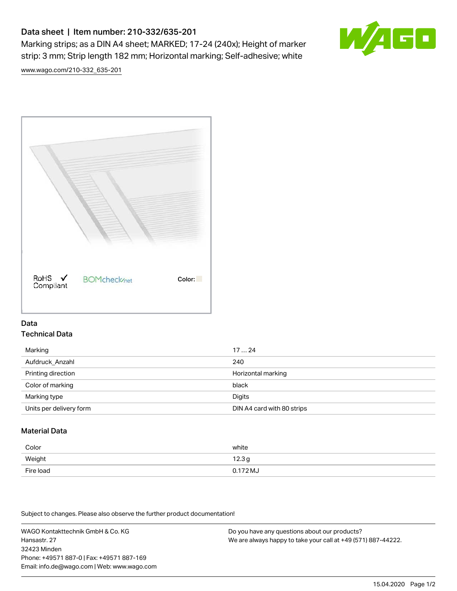# Data sheet | Item number: 210-332/635-201

Marking strips; as a DIN A4 sheet; MARKED; 17-24 (240x); Height of marker strip: 3 mm; Strip length 182 mm; Horizontal marking; Self-adhesive; white



[www.wago.com/210-332\\_635-201](http://www.wago.com/210-332_635-201)



## Data Technical Data

| Marking                 | 1724                       |
|-------------------------|----------------------------|
| Aufdruck Anzahl         | 240                        |
| Printing direction      | Horizontal marking         |
| Color of marking        | black                      |
| Marking type            | Digits                     |
| Units per delivery form | DIN A4 card with 80 strips |

# Material Data

| Color     | white               |
|-----------|---------------------|
| Weight    | 12.3g               |
| Fire load | $0.172 \mathrm{MJ}$ |

Subject to changes. Please also observe the further product documentation!

WAGO Kontakttechnik GmbH & Co. KG Hansastr. 27 32423 Minden Phone: +49571 887-0 | Fax: +49571 887-169 Email: info.de@wago.com | Web: www.wago.com Do you have any questions about our products? We are always happy to take your call at +49 (571) 887-44222.